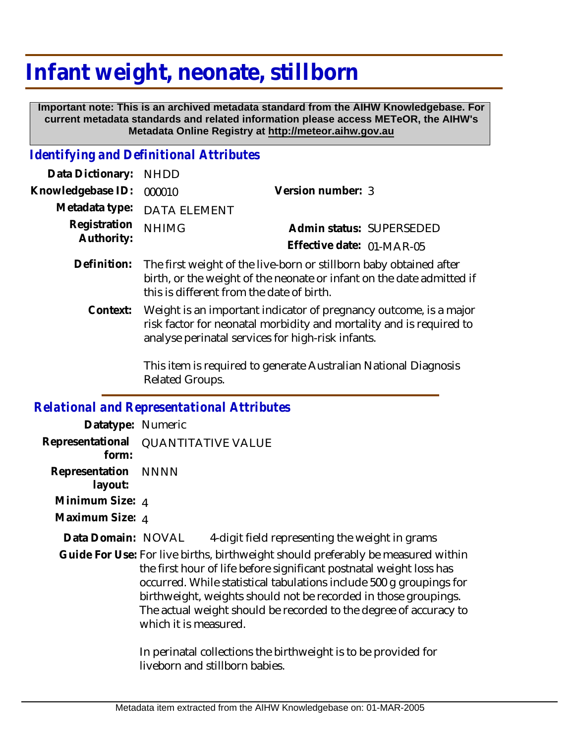## **Infant weight, neonate, stillborn**

 **Important note: This is an archived metadata standard from the AIHW Knowledgebase. For current metadata standards and related information please access METeOR, the AIHW's Metadata Online Registry at http://meteor.aihw.gov.au**

## *Identifying and Definitional Attributes*

| Data Dictionary: NHDD    |                             |                           |  |
|--------------------------|-----------------------------|---------------------------|--|
| Knowledgebase ID: 000010 |                             | Version number: 3         |  |
|                          | Metadata type: DATA ELEMENT |                           |  |
| Registration NHIMG       |                             | Admin status: SUPERSEDED  |  |
| Authority:               |                             | Effective date: 01-MAR-05 |  |
|                          |                             |                           |  |

- Definition: The first weight of the live-born or stillborn baby obtained after birth, or the weight of the neonate or infant on the date admitted if this is different from the date of birth.
	- Weight is an important indicator of pregnancy outcome, is a major risk factor for neonatal morbidity and mortality and is required to analyse perinatal services for high-risk infants. **Context:**

This item is required to generate Australian National Diagnosis Related Groups.

*Relational and Representational Attributes*

| Datatype: Numeric         |                                                                                                                                                                                                                                                                                                                                                                                                 |
|---------------------------|-------------------------------------------------------------------------------------------------------------------------------------------------------------------------------------------------------------------------------------------------------------------------------------------------------------------------------------------------------------------------------------------------|
| Representational<br>form: | <b>QUANTITATIVE VALUE</b>                                                                                                                                                                                                                                                                                                                                                                       |
| Representation<br>layout: | NNNN                                                                                                                                                                                                                                                                                                                                                                                            |
| Minimum Size: 4           |                                                                                                                                                                                                                                                                                                                                                                                                 |
| Maximum Size: 4           |                                                                                                                                                                                                                                                                                                                                                                                                 |
| Data Domain: NOVAL        | 4-digit field representing the weight in grams                                                                                                                                                                                                                                                                                                                                                  |
|                           | Guide For Use: For live births, birthweight should preferably be measured within<br>the first hour of life before significant postnatal weight loss has<br>occurred. While statistical tabulations include 500 g groupings for<br>birthweight, weights should not be recorded in those groupings.<br>The actual weight should be recorded to the degree of accuracy to<br>which it is measured. |
|                           | In perinatal collections the birthweight is to be provided for<br>liveborn and stillborn babies.                                                                                                                                                                                                                                                                                                |